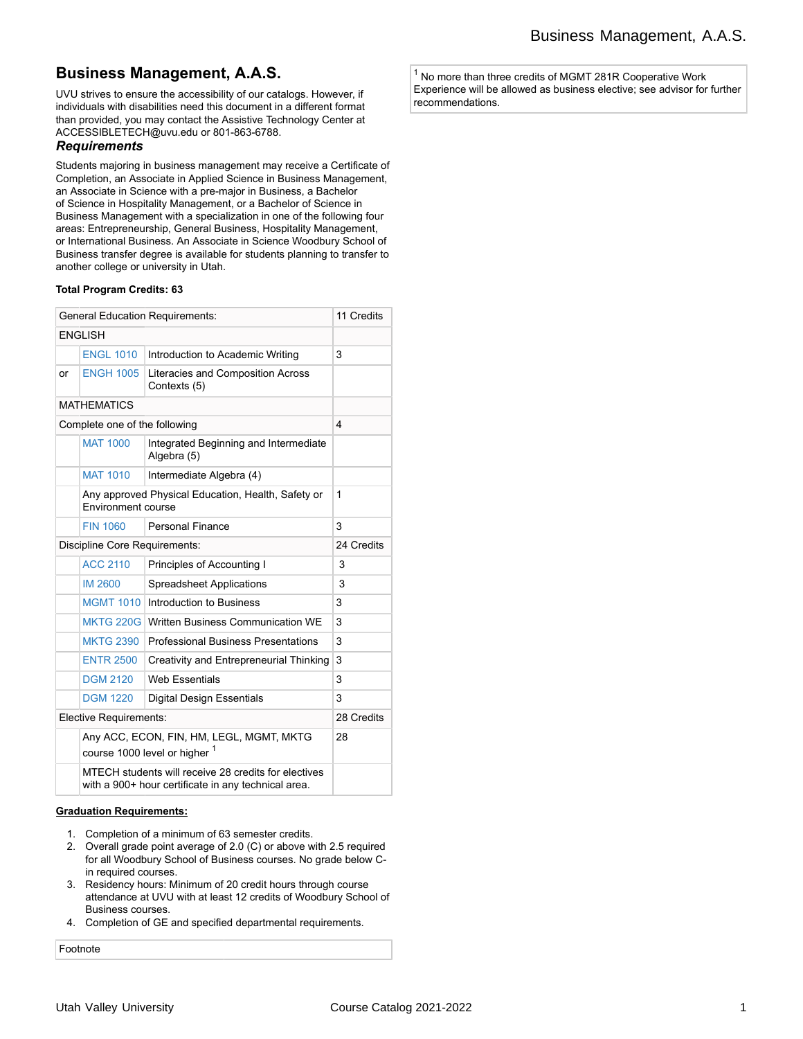# **Business Management, A.A.S.**

UVU strives to ensure the accessibility of our catalogs. However, if individuals with disabilities need this document in a different format than provided, you may contact the Assistive Technology Center at ACCESSIBLETECH@uvu.edu or 801-863-6788.

### *Requirements*

Students majoring in business management may receive a Certificate of Completion, an Associate in Applied Science in Business Management, an Associate in Science with a pre-major in Business, a Bachelor of Science in Hospitality Management, or a Bachelor of Science in Business Management with a specialization in one of the following four areas: Entrepreneurship, General Business, Hospitality Management, or International Business. An Associate in Science Woodbury School of Business transfer degree is available for students planning to transfer to another college or university in Utah.

#### **Total Program Credits: 63**

| <b>General Education Requirements:</b> | 11 Credits                                                                                                  |                                                      |   |  |  |  |
|----------------------------------------|-------------------------------------------------------------------------------------------------------------|------------------------------------------------------|---|--|--|--|
| <b>ENGLISH</b>                         |                                                                                                             |                                                      |   |  |  |  |
|                                        | <b>ENGL 1010</b>                                                                                            | Introduction to Academic Writing                     | 3 |  |  |  |
| or                                     | <b>ENGH 1005</b>                                                                                            | Literacies and Composition Across<br>Contexts (5)    |   |  |  |  |
| <b>MATHEMATICS</b>                     |                                                                                                             |                                                      |   |  |  |  |
| 4<br>Complete one of the following     |                                                                                                             |                                                      |   |  |  |  |
|                                        | <b>MAT 1000</b>                                                                                             | Integrated Beginning and Intermediate<br>Algebra (5) |   |  |  |  |
|                                        | <b>MAT 1010</b>                                                                                             | Intermediate Algebra (4)                             |   |  |  |  |
|                                        | Any approved Physical Education, Health, Safety or<br>Environment course                                    | $\mathbf{1}$                                         |   |  |  |  |
|                                        | <b>FIN 1060</b>                                                                                             | <b>Personal Finance</b>                              | 3 |  |  |  |
| Discipline Core Requirements:          | 24 Credits                                                                                                  |                                                      |   |  |  |  |
|                                        | <b>ACC 2110</b>                                                                                             | Principles of Accounting I                           | 3 |  |  |  |
|                                        | <b>IM 2600</b>                                                                                              | <b>Spreadsheet Applications</b>                      | 3 |  |  |  |
|                                        | <b>MGMT 1010</b>                                                                                            | Introduction to Business                             | 3 |  |  |  |
|                                        | <b>MKTG 220G</b>                                                                                            | Written Business Communication WE                    | 3 |  |  |  |
|                                        | <b>MKTG 2390</b>                                                                                            | <b>Professional Business Presentations</b>           | 3 |  |  |  |
|                                        | <b>ENTR 2500</b>                                                                                            | Creativity and Entrepreneurial Thinking              | 3 |  |  |  |
|                                        | <b>DGM 2120</b>                                                                                             | <b>Web Essentials</b>                                | 3 |  |  |  |
|                                        | <b>DGM 1220</b>                                                                                             | <b>Digital Design Essentials</b>                     | 3 |  |  |  |
| Elective Requirements:                 | 28 Credits                                                                                                  |                                                      |   |  |  |  |
|                                        | Any ACC, ECON, FIN, HM, LEGL, MGMT, MKTG<br>course 1000 level or higher 1                                   | 28                                                   |   |  |  |  |
|                                        | MTECH students will receive 28 credits for electives<br>with a 900+ hour certificate in any technical area. |                                                      |   |  |  |  |

#### **Graduation Requirements:**

- 1. Completion of a minimum of 63 semester credits.
- 2. Overall grade point average of 2.0 (C) or above with 2.5 required for all Woodbury School of Business courses. No grade below Cin required courses.
- 3. Residency hours: Minimum of 20 credit hours through course attendance at UVU with at least 12 credits of Woodbury School of Business courses.
- 4. Completion of GE and specified departmental requirements.

Footnote

 $1$  No more than three credits of MGMT 281R Cooperative Work Experience will be allowed as business elective; see advisor for further recommendations.